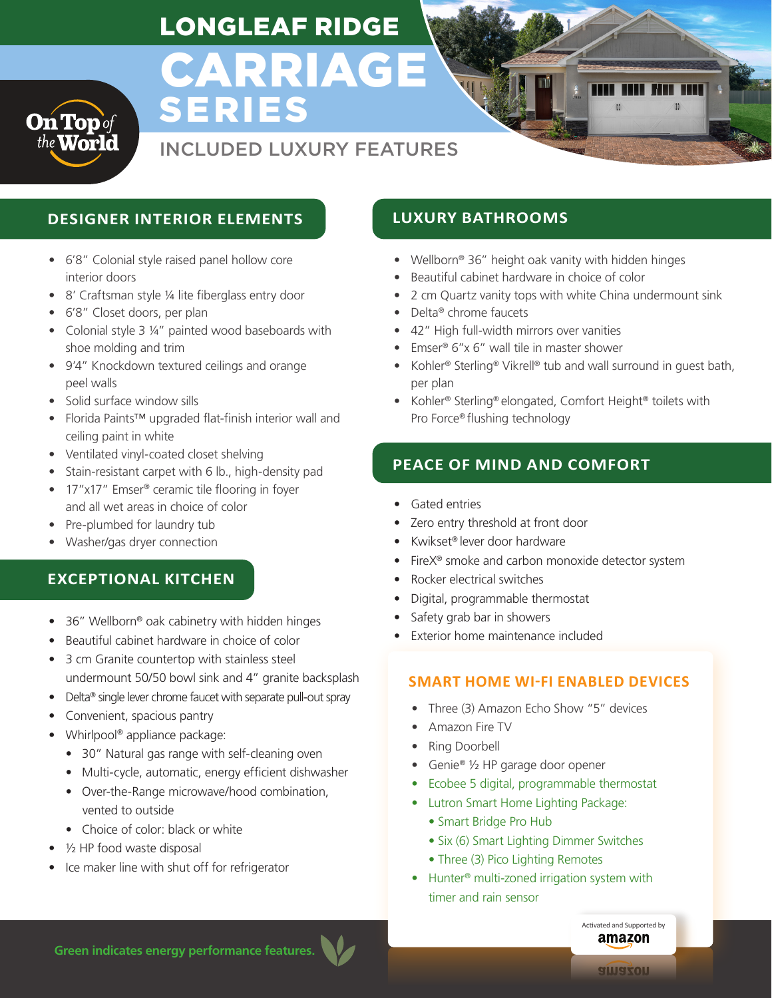## LONGLEAF RIDGE

# CARRIAGE SERIES

### INCLUDED LUXURY FEATURES

### **DESIGNER INTERIOR ELEMENTS LUXURY BATHROOMS**

- 6'8" Colonial style raised panel hollow core interior doors
- 8' Craftsman style ¼ lite fiberglass entry door
- 6'8" Closet doors, per plan

**On Top** of

- Colonial style 3 1/4" painted wood baseboards with shoe molding and trim
- 9'4" Knockdown textured ceilings and orange peel walls
- Solid surface window sills
- Florida Paints™ upgraded flat-finish interior wall and ceiling paint in white
- Ventilated vinyl-coated closet shelving
- Stain-resistant carpet with 6 lb., high-density pad
- 17"x17" Emser<sup>®</sup> ceramic tile flooring in foyer and all wet areas in choice of color
- Pre-plumbed for laundry tub
- Washer/gas dryer connection

#### **EXCEPTIONAL KITCHEN**

- 36" Wellborn® oak cabinetry with hidden hinges
- Beautiful cabinet hardware in choice of color
- 3 cm Granite countertop with stainless steel undermount 50/50 bowl sink and 4" granite backsplash
- Delta® single lever chrome faucet with separate pull-out spray
- Convenient, spacious pantry
- Whirlpool® appliance package:
	- 30" Natural gas range with self-cleaning oven
	- Multi-cycle, automatic, energy efficient dishwasher
	- Over-the-Range microwave/hood combination, vented to outside
	- Choice of color: black or white
- 1/2 HP food waste disposal
- Ice maker line with shut off for refrigerator

- Wellborn® 36" height oak vanity with hidden hinges
- Beautiful cabinet hardware in choice of color
- 2 cm Quartz vanity tops with white China undermount sink
- Delta® chrome faucets
- 42" High full-width mirrors over vanities
- Emser® 6"x 6" wall tile in master shower
- Kohler® Sterling® Vikrell® tub and wall surround in guest bath, per plan
- Kohler® Sterling® elongated, Comfort Height® toilets with Pro Force® flushing technology

### **PEACE OF MIND AND COMFORT**

- Gated entries
- Zero entry threshold at front door
- Kwikset® lever door hardware
- FireX<sup>®</sup> smoke and carbon monoxide detector system
- Rocker electrical switches
- Digital, programmable thermostat
- Safety grab bar in showers
- Exterior home maintenance included

#### **SMART HOME WI-FI ENABLED DEVICES**

- Three (3) Amazon Echo Show "5" devices
- Amazon Fire TV
- Ring Doorbell
- Genie® 1/2 HP garage door opener
- Ecobee 5 digital, programmable thermostat
- Lutron Smart Home Lighting Package:
	- Smart Bridge Pro Hub
	- Six (6) Smart Lighting Dimmer Switches
	- Three (3) Pico Lighting Remotes
- Hunter<sup>®</sup> multi-zoned irrigation system with timer and rain sensor

**Green indicates energy performance features.**

Activated and Supported by amazon